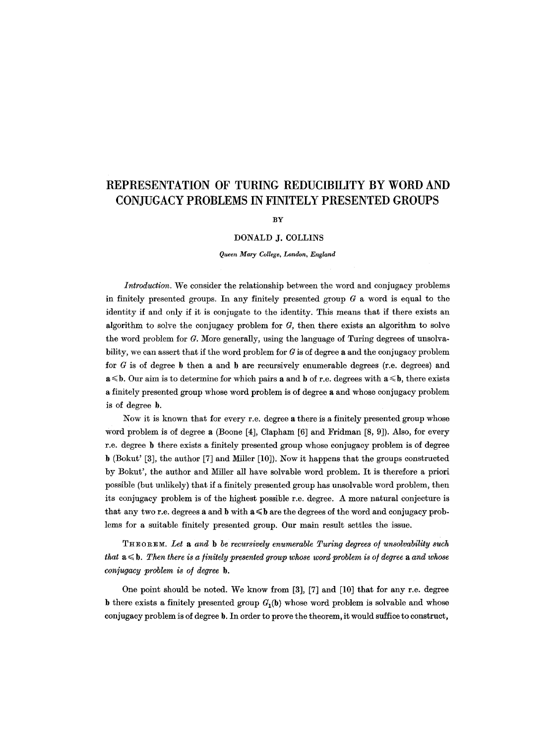# **REPRESENTATION OF TURING REDUCIBILITY BY WORD AND CONJUGACY PROBLEMS IN FINITELY PRESENTED GROUPS**

## **BY**

### **DONALD J. COLLINS**

#### *Queen Mary College, London, England*

*Introduction.* We consider the relationship between the word and conjugacy problems in finitely presented groups. In any finitely presented group  $G$  a word is equal to the identity if and only if it is conjugate to the identity. This means that if there exists an algorithm to solve the conjugacy problem for  $G$ , then there exists an algorithm to solve the word problem for  $G$ . More generally, using the language of Turing degrees of unsolvability, we can assert that if the word problem for  $G$  is of degree a and the conjugacy problem for  $G$  is of degree b then a and b are recursively enumerable degrees (r.e. degrees) and  $a \leq b$ . Our aim is to determine for which pairs a and b of r.e. degrees with  $a \leq b$ , there exists a finitely presented group whose word problem is of degree a and whose conjugacy problem is of degree b.

Now it is known that for every r.e. degree a there is a finitely presented group whose word problem is of degree a (Boone [4], Clapham [6] and Fridman [8, 9]). Also, for every r.e. degree b there exists a finitely presented group whose conjugacy problem is of degree b (Bokut' [3], the author [7] and Miller [10]). Now it happens that the groups constructed by Bokut', the author and Miller all have solvable word problem. It is therefore a priori possible (but unlikely) that if a finitely presented group has unsolvable word problem, then its conjugacy problem is of the highest possible r.e. degree. A more natural conjecture is that any two r.e. degrees a and b with  $a \leq b$  are the degrees of the word and conjugacy problems for a suitable finitely presented group. Our main result settles the issue.

THEOREM. Let a and b be recursively enumerable Turing degrees of unsolvability such *that*  $a \leq b$ . Then there is a finitely presented group whose word problem is of degree a and whose *conjugacy problem is of degree b.* 

One point should be noted. We know from [3], [7] and [10] that for any r.e. degree b there exists a finitely presented group  $G_1(b)$  whose word problem is solvable and whose conjugacy problem is of degree b. In order to prove the theorem, it would suffice to construct,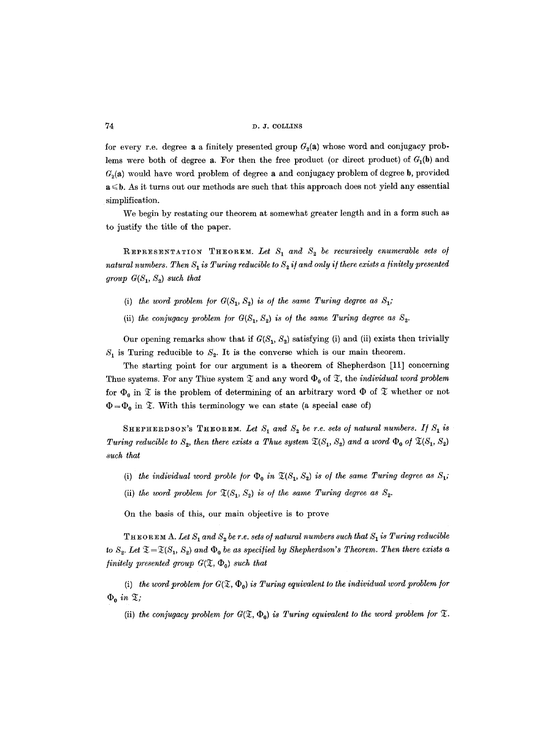for every r.e. degree a a finitely presented group  $G_2(a)$  whose word and conjugacy problems were both of degree a. For then the free product (or direct product) of  $G_1(\mathbf{b})$  and  $G<sub>9</sub>(a)$  would have word problem of degree a and conjugacy problem of degree b, provided  $a \leq b$ . As it turns out our methods are such that this approach does not yield any essential simplification.

We begin by restating our theorem at somewhat greater length and in a form such as to justify the title of the paper.

REPRESENTATION THEOREM. Let  $S_1$  and  $S_2$  be recursively enumerable sets of *natural numbers. Then S<sub>1</sub> is Turing reducible to S<sub>2</sub> if and only if there exists a finitely presented group*  $G(S_1, S_2)$  such that

- (i) the word problem for  $G(S_1, S_2)$  is of the same Turing degree as  $S_1$ ;
- (ii) the conjugacy problem for  $G(S_1, S_2)$  is of the same Turing degree as  $S_2$ .

Our opening remarks show that if  $G(S_1, S_2)$  satisfying (i) and (ii) exists then trivially  $S_1$  is Turing reducible to  $S_2$ . It is the converse which is our main theorem.

The starting point for our argument is a theorem of Shepherdson [11] concerning Thue systems. For any Thue system  $\mathfrak X$  and any word  $\Phi_0$  of  $\mathfrak X$ , the *individual word problem* for  $\Phi_0$  in  $\mathfrak T$  is the problem of determining of an arbitrary word  $\Phi$  of  $\mathfrak T$  whether or not  $\Phi = \Phi_0$  in  $\mathfrak T$ . With this terminology we can state (a special case of)

SHEPHERDSON'S THEOREM. Let  $S_1$  and  $S_2$  be r.e. sets of natural numbers. If  $S_1$  is *Turing reducible to*  $S_2$ , *then there exists a Thue system*  $\mathfrak{T}(S_1, S_2)$  and a word  $\Phi_0$  of  $\mathfrak{T}(S_1, S_2)$ *such that* 

- (i) the individual word proble for  $\Phi_0$  in  $\mathfrak{X}(S_1, S_2)$  is of the same Turing degree as  $S_1$ ;
- (ii) the word problem for  $\mathfrak{T}(S_1, S_2)$  is of the same Turing degree as  $S_2$ .

On the basis of this, our main objective is to prove

 $T$ HEOREM A. Let  $S_1$  and  $S_2$  be r.e. sets of natural numbers such that  $S_1$  is Turing reducible *to*  $S_2$ . Let  $\mathfrak{T}=\mathfrak{T}(S_1, S_2)$  and  $\Phi_0$  be as specified by Shepherdson's Theorem. Then there exists a *finitely presented group*  $G(\mathfrak{T}, \Phi_{q})$  *such that* 

(i) the word problem for  $G(\mathfrak{X}, \Phi_0)$  is Turing equivalent to the individual word problem for  $\Phi_0$  *in*  $\mathfrak{T}$ ;

(ii) the conjugacy problem for  $G(\mathfrak{X}, \Phi_0)$  is Turing equivalent to the word problem for  $\mathfrak{X}$ .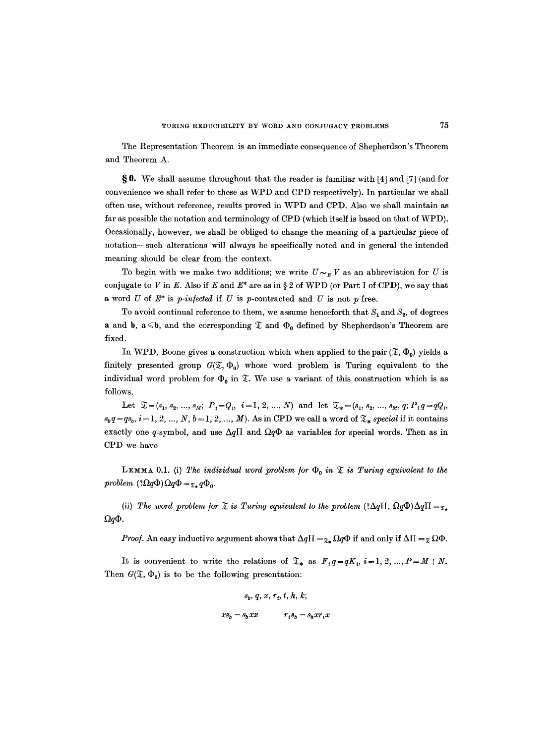The Representation Theorem is an immediate consequence of Shepherdson's Theorem and Theorem A.

 $\S$ 0. We shall assume throughout that the reader is familiar with [4] and [7] (and for convenience we shall refer to these as WPD and CPD respectively). In particular we shall often use, without reference, results proved in WPD and CPD. Also we shall maintain as far as possible the notation and terminology of CPD (which itself is based on that of WPD). Occasionally, however, we shall be obliged to change the meaning of a particular piece of notation--such alterations will always be specifically noted and in general the intended meaning should be clear from the context.

To begin with we make two additions; we write  $U \sim_{\kappa} V$  as an abbreviation for U is conjugate to V in E. Also if E and  $E^*$  are as in § 2 of WPD (or Part I of CPD), we say that a word  $U$  of  $E^*$  is *p-infected* if  $U$  is *p*-contracted and  $U$  is not *p*-free.

To avoid continual reference to them, we assume henceforth that  $S_1$  and  $S_2$ , of degrees **a** and **b**,  $a \le b$ , and the corresponding  $\mathcal{I}$  and  $\Phi_0$  defined by Shepherdson's Theorem are fixed.

In WPD, Boone gives a construction which when applied to the pair  $(\mathfrak{T}, \Phi_0)$  yields a finitely presented group  $G(\mathfrak{X}, \Phi_0)$  whose word problem is Turing equivalent to the individual word problem for  $\Phi_0$  in  $\mathfrak X$ . We use a variant of this construction which is as follows.

Let  $\mathfrak{T}=(s_1, s_2, ..., s_M; P_i=Q_i, i=1, 2, ..., N)$  and let  $\mathfrak{T}_*=(s_1, s_2, ..., s_M, q; P_i q=qQ_i,$  $s_bq = qs_b$ ,  $i = 1, 2, ..., N, b = 1, 2, ..., M$ ). As in CPD we call a word of  $\mathfrak{T}_*$  *special* if it contains exactly one q-symbol, and use  $\Delta q\Pi$  and  $\Omega q\Phi$  as variables for special words. Then as in CPD we have

LEMMA 0.1. (i) The individual word problem for  $\Phi_0$  in  $\mathfrak X$  is Turing equivalent to the *problem*  $(?\Omega q\Phi) \Omega q\Phi = \mathfrak{X}_* q\Phi_0$ .

(ii) The word problem for  $\mathfrak T$  is Turing equivalent to the problem  $({}^{?}\Delta q\Pi, \Omega q\Phi)\Delta q\Pi =_{\mathfrak T_*}$  $\Omega q\Phi$ .

*Proof.* An easy inductive argument shows that  $\Delta q \Pi = z_* \Omega q \Phi$  if and only if  $\Delta \Pi = z \Omega \Phi$ .

It is convenient to write the relations of  $\mathfrak{X}_*$  as  $F_q q = qK_i$ ,  $i=1,2, ..., P=M+N$ . Then  $G(\mathfrak{X}, \Phi_0)$  is to be the following presentation:

$$
s_b, q, x, r_i, t, h, k;
$$
  

$$
xs_b = s_b xx \qquad r_i s_b = s_b xr_ix
$$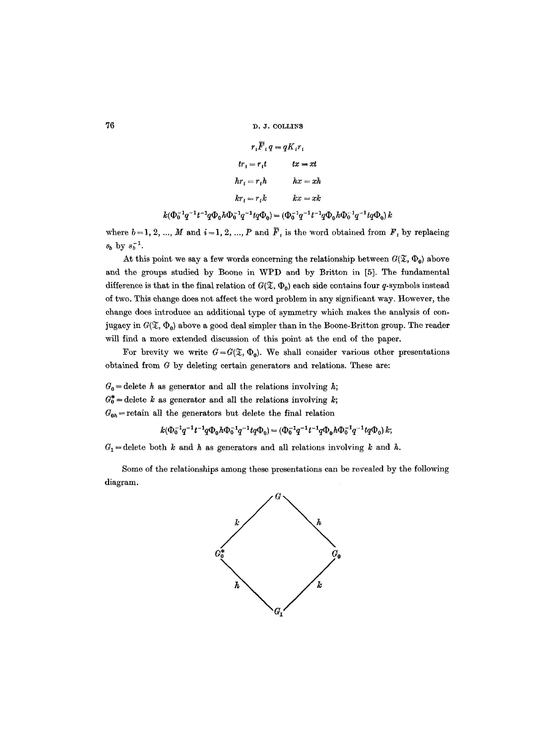$$
r_i \overline{F}_i q = qK_i r_i
$$
  
\n
$$
tr_i = r_i t \qquad tx = xt
$$
  
\n
$$
hr_i = r_i h \qquad hx = xh
$$
  
\n
$$
kr_i = r_i k \qquad kx = xk
$$
  
\n
$$
k(\Phi_0^{-1}q^{-1}t^{-1}q\Phi_0h\Phi_0^{-1}q^{-1}tq\Phi_0) = (\Phi_0^{-1}q^{-1}t^{-1}q\Phi_0h\Phi_0^{-1}q^{-1}tq\Phi_0)k
$$

where  $b=1, 2, ..., M$  and  $i=1, 2, ..., P$  and  $\overline{F}_i$  is the word obtained from  $F_i$  by replacing  $s_b$  by  $s_b^{-1}$ .

At this point we say a few words concerning the relationship between  $G(\mathfrak{X}, \Phi_0)$  above and the groups studied by Boone in WPD and by Britton in [5]. The fundamental difference is that in the final relation of  $G(\mathfrak{X}, \Phi_0)$  each side contains four q-symbols instead of two. This change does not affect the word problem in any significant way. However, the change does introduce an additional type of symmetry which makes the analysis of conjugacy in  $G(\mathfrak{X}, \Phi_0)$  above a good deal simpler than in the Boone-Britton group. The reader will find a more extended discussion of this point at the end of the paper.

For brevity we write  $G = G(\mathfrak{X}, \Phi_0)$ . We shall consider various other presentations obtained from G by deleting certain generators and relations. These are:

 $G_0$  = delete h as generator and all the relations involving h;  $G_0^*$  = delete k as generator and all the relations involving k;  $G_{0h}$  = retain all the generators but delete the final relation

$$
k(\Phi_0^{-1}q^{-1}t^{-1}q\Phi_0h\Phi_0^{-1}q^{-1}tq\Phi_0)=(\Phi_0^{-1}q^{-1}t^{-1}q\Phi_0h\Phi_0^{-1}q^{-1}tq\Phi_0) k;
$$

 $G_1$  = delete both k and h as generators and all relations involving k and h.

Some of the relationships among these presentations can be revealed by the following diagram.

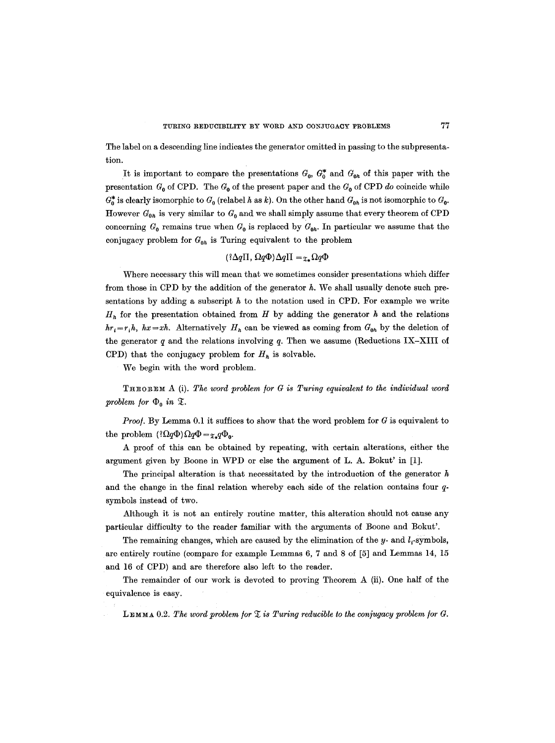The label on a descending line indicates the generator omitted in passing to the subpresentation.

It is important to compare the presentations  $G_0$ ,  $G_0^*$  and  $G_{0h}$  of this paper with the presentation  $G_0$  of CPD. The  $G_0$  of the present paper and the  $G_0$  of CPD *do* coincide while  $G_0^*$  is clearly isomorphic to  $G_0$  (relabel h as k). On the other hand  $G_{0h}$  is not isomorphic to  $G_0$ . However  $G_{0h}$  is very similar to  $G_0$  and we shall simply assume that every theorem of CPD concerning  $G_0$  remains true when  $G_0$  is replaced by  $G_{0h}$ . In particular we assume that the conjugacy problem for  $G_{0h}$  is Turing equivalent to the problem

## $(?\Delta q \Pi, \Omega q \Phi) \Delta q \Pi = \mathfrak{T}_* \Omega q \Phi$

Where necessary this will mean that we sometimes consider presentations which differ from those in CPD by the addition of the generator  $h$ . We shall usually denote such presentations by adding a subscript  $h$  to the notation used in CPD. For example we write  $H_h$  for the presentation obtained from H by adding the generator h and the relations  $hr_i=r_ih$ ,  $hx=xh$ . Alternatively  $H_h$  can be viewed as coming from  $G_{0h}$  by the deletion of the generator  $q$  and the relations involving  $q$ . Then we assume (Reductions IX-XIII of CPD) that the conjugacy problem for  $H_h$  is solvable.

We begin with the word problem.

THEOREM A (i). *The word problem/or G is Turing equivalent to the individual word problem for*  $\Phi_0$  *in*  $\mathfrak{T}$ .

*Proof.* By Lemma 0.1 it suffices to show that the word problem for  $G$  is equivalent to the problem  $({}^{?}\Omega q\Phi) \Omega q\Phi = \mathfrak{g}_* q\Phi_0$ .

A proof of this can be obtained by repeating, with certain alterations, either the argument given by Boone in WPD or else the argument of L. A. Bokut' in [1].

The principal alteration is that necessitated by the introduction of the generator  $h$ and the change in the final relation whereby each side of the relation contains four  $q$ symbols instead of two.

Although it is not an entirely routine matter, this alteration should not cause any particular difficulty to the reader familiar with the arguments of Boone and Bokut'.

The remaining changes, which are caused by the elimination of the  $y$ - and  $l_t$ -symbols, are entirely routine (compare for example Lemmas 6, 7 and 8 of [5] and Lemmas 14, 15 and 16 of CPD) and are therefore also left to the reader.

The remainder of our work is devoted to proving Theorem A (ii). One half of the equivalence is easy.

**LEMMA** 0.2. The word problem for  $\mathfrak X$  is Turing reducible to the conjugacy problem for  $G$ .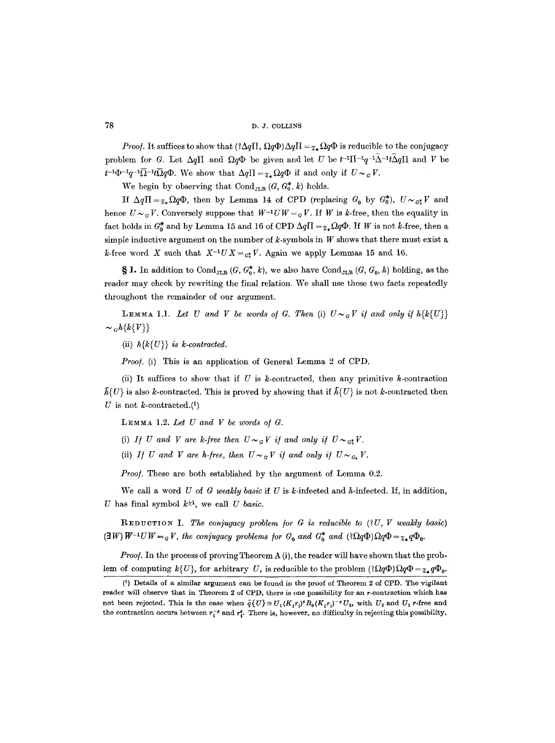*Proof.* It suffices to show that  $({}^{2}\Delta q\Pi, \Omega q\Phi)\Delta q\Pi = \tau_{\star} \Omega q\Phi$  is reducible to the conjugacy problem for G. Let  $\Delta qI$ I and  $\Omega q\Phi$  be given and let U be  $t^{-1}\Pi^{-1}q^{-1}\bar{\Delta}^{-1}t\bar{\Delta}qI$ I and V be  $t^{-1}\Phi^{-1}q^{-1}\overline{\Omega}^{-1}t\overline{\Omega}q\Phi$ . We show that  $\Delta q\Pi =_{\mathfrak{X}_*}\Omega q\Phi$  if and only if  $U \sim_{\mathfrak{G}} V$ .

We begin by observing that Cond<sub>JLB</sub>  $(G, G_0^*, k)$  holds.

If  $\Delta q \Pi = \mathfrak{g}_* \Omega q \Phi$ , then by Lemma 14 of CPD (replacing  $G_0$  by  $G_0^*$ ),  $U \sim_{G_0^*} V$  and hence  $U \sim_{G} V$ . Conversely suppose that  $W^{-1}UW =_{G} V$ . If W is k-free, then the equality in fact holds in  $G_0^*$  and by Lemma 15 and 16 of CPD  $\Delta q \Pi = \mathcal{F}_* \Omega q \Phi$ . If W is not k-free, then a simple inductive argument on the number of  $k$ -symbols in  $W$  shows that there must exist a k-free word X such that  $X^{-1}UX = c_0 V$ . Again we apply Lemmas 15 and 16.

§ **I.** In addition to Cond<sub>JLB</sub>  $(G, G_0^*, k)$ , we also have Cond<sub>JLB</sub>  $(G, G_0, k)$  holding, as the reader may check by rewriting the final relation. We shall use these two facts repeatedly throughout the remainder of our argument.

**LEMMA 1.1.** Let U and V be words of G. Then (i)  $U \sim_{G} V$  if and only if  $h\{k\{U\}\}\$  $\sim$ <sub>G</sub>h{k{V}}

(ii)  $h\{k\{U\}\}\$ is k-contracted.

*Proof.* (i) This is an application of General Lemma 2 of CPD.

(ii) It suffices to show that if U is k-contracted, then any primitive h-contraction  $\bar{h}\{U\}$  is also k-contracted. This is proved by showing that if  $\bar{h}\{U\}$  is not k-contracted then U is not k-contracted. $(1)$ 

 $L$ EMMA 1.2. *Let U and V be words of G.* 

(i) *If U and V are k-free then*  $U \sim_G V$  *if and only if*  $U \sim_{G^*} V$ *.* 

(ii) *If U* and *V* are *h*-free, then  $U \sim_{G} V$  if and only if  $U \sim_{G} V$ .

*Proo/.* These are both established by the argument of Lemma 0.2.

We call a word U of G weakly basic if U is k-infected and h-infected. If, in addition, U has final symbol  $k^{\pm 1}$ , we call U basic.

 $R$ EDUCTION I. The conjugacy problem for G is reducible to  $(2U, V$  weakly basic)  $(\exists W) W^{-1}UW = {}_G V$ , the conjugacy problems for  $G_0$  and  $G_0^*$  and  $(?\Omega q\Phi) \Omega q\Phi = \mathfrak{X}_* q\Phi_0$ .

*Proof.* In the process of proving Theorem A (i), the reader will have shown that the problem of computing  $k\{U\}$ , for arbitrary U, is reducible to the problem  $(?\Omega q\Phi) \Omega q\Phi = z_* q\Phi_0$ .

<sup>(1)</sup> Details of a similar argument can be found in the proof of Theorem 2 of CPD. The vigilant reader will observe that in Theorem 2 of CPD, there is one possibility for an r-contraction which has not been rejected. This is the case when  $\bar{q}\{U\} \equiv U_1 (K_i r_i)^s B_0 (K_i r_i)^{-s} U_2$ , with  $U_2$  and  $U_1$  r-free and the contraction occurs between  $r_i^{-e}$  and  $r_i^{e}$ . There is, however, no difficulty in rejecting this possibility,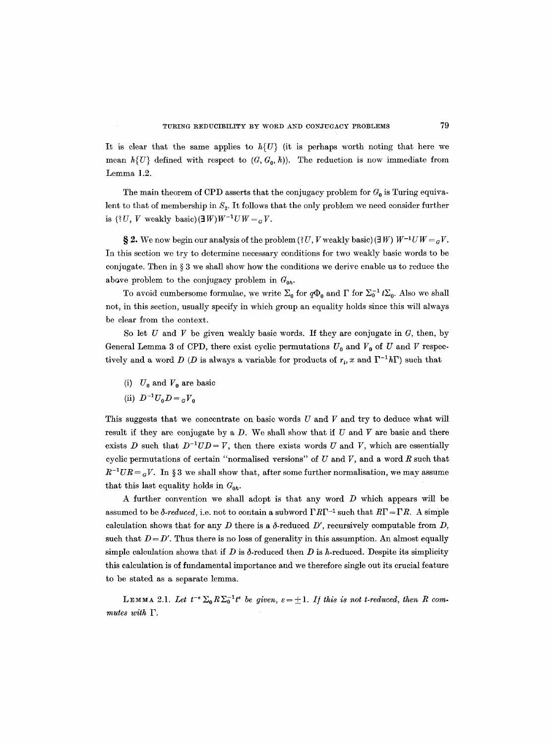It is clear that the same applies to  $h\{U\}$  (it is perhaps worth noting that here we mean  $h\{U\}$  defined with respect to  $(G, G_0, h)$ ). The reduction is now immediate from Lemma 1.2.

The main theorem of CPD asserts that the conjugacy problem for  $G_0$  is Turing equivalent to that of membership in  $S_2$ . It follows that the only problem we need consider further is  $({}^{3}U, V$  weakly basic)( $\exists W)W^{-1}UW =_{G}V$ .

**§ 2.** We now begin our analysis of the problem (?*U*, *V* weakly basic) (3*W*)  $W^{-1}UW = {}_{G}V$ . In this section we try to determine necessary conditions for two weakly basic words to be conjugate. Then in  $\S 3$  we shall show how the conditions we derive enable us to reduce the above problem to the conjugacy problem in  $G_{0h}$ .

To avoid cumbersome formulae, we write  $\Sigma_0$  for  $q\Phi_0$  and  $\Gamma$  for  $\Sigma_0^{-1} t\Sigma_0$ . Also we shall not, in this section, usually specify in which group an equality holds since this will always be clear from the context.

So let  $U$  and  $V$  be given weakly basic words. If they are conjugate in  $G$ , then, by General Lemma 3 of CPD, there exist cyclic permutations  $U_0$  and  $V_0$  of U and V respectively and a word D (D is always a variable for products of  $r_i$ , x and  $\Gamma^{-1}h\Gamma$ ) such that

- (i)  $U_0$  and  $V_0$  are basic
- (ii)  $D^{-1}U_0 D = _G V_0$

This suggests that we concentrate on basic words  $U$  and  $V$  and try to deduce what will result if they are conjugate by a  $D$ . We shall show that if  $U$  and  $V$  are basic and there exists D such that  $D^{-1}UD = V$ , then there exists words U and V, which are essentially cyclic permutations of certain "normalised versions" of  $U$  and  $V$ , and a word  $R$  such that  $R^{-1}UR = qV$ . In §3 we shall show that, after some further normalisation, we may assume that this last equality holds in  $G_{0h}$ .

A further convention we shall adopt is that any word D which appears will be assumed to be  $\delta$ -reduced, i.e. not to contain a subword  $\Gamma R\Gamma^{-1}$  such that  $R\Gamma = \Gamma R$ . A simple calculation shows that for any D there is a  $\delta$ -reduced D', recursively computable from D, such that  $D = D'$ . Thus there is no loss of generality in this assumption. An almost equally simple calculation shows that if D is  $\delta$ -reduced then D is h-reduced. Despite its simplicity this calculation is of fundamental importance and we therefore single out its crucial feature to be stated as a separate lemma.

LEMMA 2.1. Let  $t^{-\epsilon} \sum_0 R \sum_0^{-1} t^{\epsilon}$  be given,  $\varepsilon = +1$ . If this is not t-reduced, then R com*mutes with F.*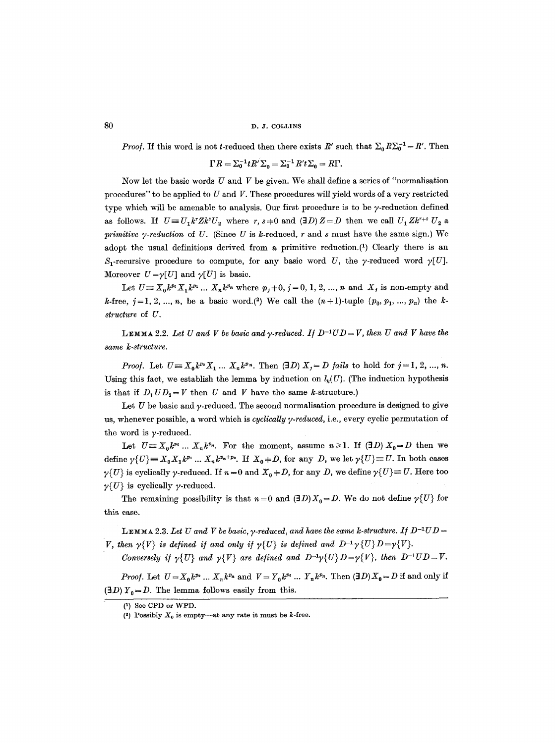*Proof.* If this word is not t-reduced then there exists *R'* such that  $\Sigma_0 R \Sigma_0^{-1} = R'$ . Then

 $\Gamma R = \sum_{0}^{-1} t R' \sum_{0} = \sum_{0}^{-1} R' t \sum_{0} = R \Gamma.$ 

Now let the basic words  $U$  and  $V$  be given. We shall define a series of "normalisation" procedures" to be applied to  $U$  and  $V$ . These procedures will yield words of a very restricted type which will be amenable to analysis. Our first procedure is to be  $\gamma$ -reduction defined as follows. If  $U \equiv U_1 k^r Z k^s U_2$  where  $r, s \neq 0$  and  $(\exists D) Z = D$  then we call  $U_1 Z k^{r+s} U_2$  a *primitive y-reduction* of  $U$ . (Since  $U$  is k-reduced,  $r$  and  $s$  must have the same sign.) We adopt the usual definitions derived from a primitive reduction.<sup>(1)</sup> Clearly there is an  $S_1$ -recursive procedure to compute, for any basic word U, the y-reduced word  $\gamma[U]$ . Moreover  $U = \gamma[U]$  and  $\gamma[U]$  is basic.

Let  $U = X_0 k^{p_0} X_1 k^{p_1} ... X_n k^{p_n}$  where  $p_j + 0, j = 0, 1, 2, ..., n$  and  $X_j$  is non-empty and *k*-free,  $j = 1, 2, ..., n$ , be a basic word.<sup>(2)</sup> We call the  $(n+1)$ -tuple  $(p_0, p_1, ..., p_n)$  the k*structure* of U.

LEMMA 2.2. Let U and V be basic and y-reduced. If  $D^{-1}UD = V$ , then U and V have the *same k-structure.* 

*Proof.* Let  $U \equiv X_0 k^{p_0} X_1 ... X_n k^{p_n}$ . Then *(3D)*  $X_j = D$  *fails* to hold for  $j = 1, 2, ..., n$ . Using this fact, we establish the lemma by induction on  $l_k(U)$ . (The induction hypothesis is that if  $D_1 U D_2 = V$  then U and V have the same k-structure.)

Let U be basic and  $\gamma$ -reduced. The second normalisation procedure is designed to give us, whenever possible, a word which is *cyclically y-reduced,* i.e., every cyclic permutation of the word is  $\gamma$ -reduced.

Let  $U=X_0 k^{p_0} ... X_n k^{p_n}$ . For the moment, assume  $n \geq 1$ . If  $(\exists D) X_0 = D$  then we define  $\gamma\{U\} \equiv X_0 X_1 k^{p_1} \dots X_n k^{p_n + p_0}$ . If  $X_0 + D$ , for any D, we let  $\gamma\{U\} \equiv U$ . In both cases  $\gamma\{U\}$  is cyclically y-reduced. If  $n=0$  and  $X_0+D$ , for any *D*, we define  $\gamma\{U\} \equiv U$ . Here too  $\gamma\{U\}$  is cyclically y-reduced.

The remaining possibility is that  $n=0$  and  $(\exists D)X_0=D$ . We do not define  $\gamma\{U\}$  for this case.

LEMMA 2.3. Let U and V be basic, y-reduced, and have the same k-structure. If  $D^{-1}UD =$ *V*, then  $\gamma\{V\}$  is defined if and only if  $\gamma\{U\}$  is defined and  $D^{-1}\gamma\{U\}D=\gamma\{V\}$ .

*Conversely if*  $\gamma\{U\}$  and  $\gamma\{V\}$  are defined and  $D^{-1}\gamma\{U\}D=\gamma\{V\}$ , then  $D^{-1}UD=V$ .

*Proof.* Let  $U=X_0k^{p_0}...X_nk^{p_n}$  and  $V=Y_0k^{p_0}...Y_nk^{p_n}$ . Then  $(\exists D)X_0=D$  if and only if  $(3D) Y_0 = D$ . The lemma follows easily from this.

<sup>(1)</sup> See CPD or WPD.

<sup>(2)</sup> Possibly  $X_0$  is empty--at any rate it must be k-free.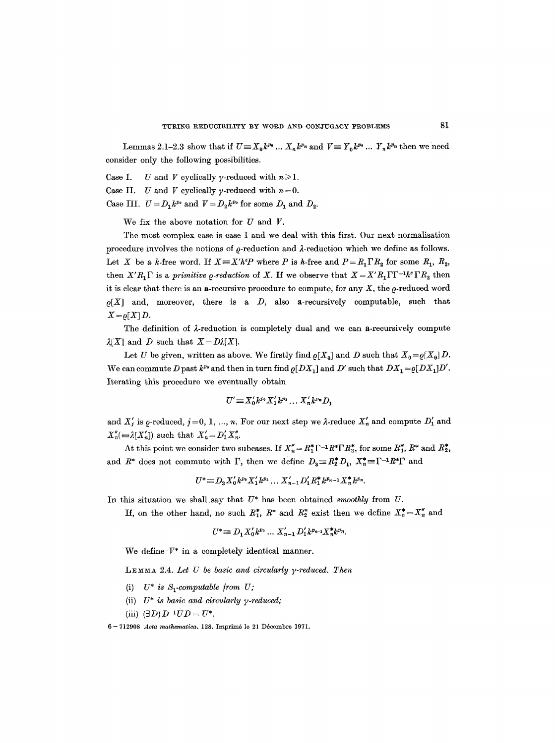Lemmas 2.1-2.3 show that if  $U=X_0 k^{p_0} ... X_n k^{p_n}$  and  $V\equiv Y_0 k^{p_0} ... Y_n k^{p_n}$  then we need consider only the following possibilities.

Case I. U and V cyclically  $\gamma$ -reduced with  $n \geq 1$ .

Case II. U and V cyclically  $\gamma$ -reduced with  $n = 0$ .

Case III,  $U = D_1 k^{p_0}$  and  $V = D_2 k^{p_0}$  for some  $D_1$  and  $D_2$ .

We fix the above notation for  $U$  and  $V$ .

The most complex case is case I and we deal with this first. Our next normalisation procedure involves the notions of  $\rho$ -reduction and  $\lambda$ -reduction which we define as follows. Let X be a k-free word. If  $X = X'h^p$  where P is h-free and  $P = R_1 \Gamma R_2$  for some  $R_1, R_2,$ then  $X'R_1\Gamma$  is a *primitive*  $\varrho$ *-reduction* of X. If we observe that  $X = X'R_1\Gamma\Gamma^{-1}h^{\varepsilon}\Gamma R_2$  then it is clear that there is an a-recursive procedure to compute, for any  $X$ , the  $\rho$ -reduced word  $\rho[X]$  and, moreover, there is a D, also a-recursively computable, such that  $X = \rho[X]D$ .

The definition of  $\lambda$ -reduction is completely dual and we can a-recursively compute  $\lambda[X]$  and *D* such that  $X = D\lambda[X]$ .

Let U be given, written as above. We firstly find  $\rho[X_0]$  and D such that  $X_0 = \rho[X_0]D$ . We can commute D past  $k^{p_0}$  and then in turn find  $\rho[DX_1]$  and D' such that  $DX_1 = \rho[DX_1]D'$ . Iterating this procedure we eventually obtain

$$
U' \equiv X_0' k^{p_0} X_1' k^{p_1} \dots X_n' k^{p_n} D_1
$$

and  $X'_{i}$  is  $\rho$ -reduced,  $j=0, 1, ..., n$ . For our next step we  $\lambda$ -reduce  $X'_{n}$  and compute  $D'_{1}$  and  $X_n''(\equiv \lambda [X_n'])$  such that  $X_n' = D_1' X_n'$ .

At this point we consider two subcases. If  $X_n'' = R_1^* \Gamma^{-1} R^* \Gamma R_2^*$ , for some  $R_1^*$ ,  $R^*$  and  $R_2^*$ , and  $R^*$  does not commute with  $\Gamma$ , then we define  $D_3 \equiv R_2^* D_1$ ,  $X_n^* = \Gamma^{-1}R^* \Gamma$  and

$$
U^* \equiv D_3 X_0' k^{p_0} X_1' k^{p_1} \dots X_{n-1}' D_1' R_1^* k^{p_{n-1}} X_n^* k^{p_n}.
$$

In this situation we shall say that  $U^*$  has been obtained *smoothly* from  $U$ .

If, on the other hand, no such  $R_1^*$ ,  $R^*$  and  $R_2^*$  exist then we define  $X_n^* = X_n^*$  and

 $U^* \equiv D_1 X_0' k^{p_0} \dots X_{n-1}' D_1' k^{p_{n-1}} X_n^* k^{p_n}.$ 

We define  $V^*$  in a completely identical manner.

LEMMA 2.4. *Let U be basic and circularly y-reduced. Then* 

- (i)  $U^*$  is  $S_1$ -computable from  $U$ ;
- (ii) *U\* is basic and circularly y-reduced;*
- (iii)  $(3D) D^{-1} UD = U^*$ .

6-- 712908 *Acta mathematica.* 128. Imprim6 lo 21 D6cembro 1971.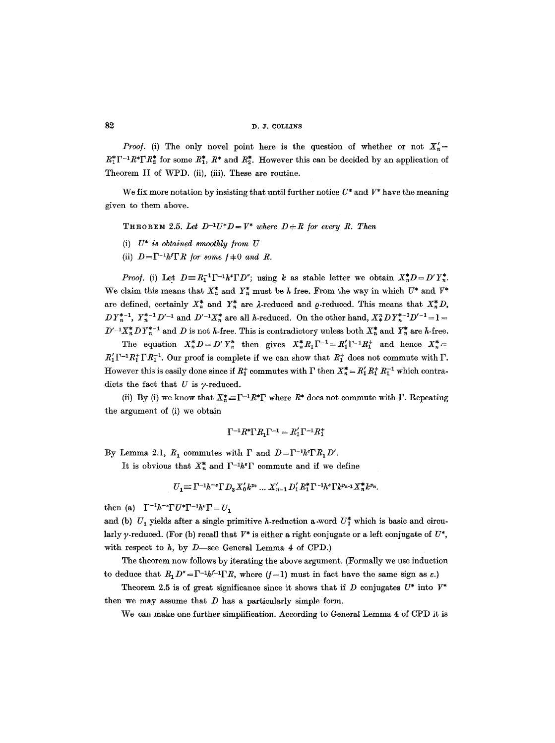~2 D.J. COLLINS

*Proof.* (i) The only novel point here is the question of whether or not  $X'_n =$  $R_1^*$   $\Gamma^{-1}R^* \Gamma R_2^*$  for some  $R_1^*$ ,  $R^*$  and  $R_2^*$ . However this can be decided by an application of Theorem II of WPD. (ii), (iii). These are routine.

We fix more notation by insisting that until further notice  $U^*$  and  $V^*$  have the meaning given to them above.

THEOREM 2.5. Let  $D^{-1}U^*D=V^*$  where  $D+R$  for every R. Then

- (i)  $U^*$  is obtained smoothly from  $U$
- (ii)  $D=\Gamma^{-1}h^f\Gamma R$  for some  $f+0$  and R.

*Proof.* (i) Let  $D = R_1^{-1} \Gamma^{-1} h^{\epsilon} \Gamma D^{\prime}$ ; using k as stable letter we obtain  $X_n^* D = D' Y_n^*$ . We claim this means that  $X_n^*$  and  $Y_n^*$  must be h-free. From the way in which  $U^*$  and  $V^*$ are defined, certainly  $X_n^*$  and  $Y_n^*$  are  $\lambda$ -reduced and  $\rho$ -reduced. This means that  $X_n^*D$ ,  $DY_n^{*-1}, Y_n^{*-1}D'^{-1}$  and  $D'^{-1}X_n^*$  are all h-reduced. On the other hand,  $X_n^*DY_n^{*-1}D'^{-1} = 1 = 1$  $D'^{-1}X_n^* D Y_n^{*-1}$  and D is not h-free. This is contradictory unless both  $X_n^*$  and  $Y_n^*$  are h-free.

The equation  $X_n^*D = D' Y_n^*$  then gives  $X_n^*R_1\Gamma^{-1} = R'_1\Gamma^{-1}R_1^+$  and hence  $X_n^* =$  $R'_1\Gamma^{-1}R_1^+\Gamma R_1^{-1}$ . Our proof is complete if we can show that  $R_1^+$  does not commute with  $\Gamma$ . However this is easily done since if  $R_1^*$  commutes with  $\Gamma$  then  $X_n^* = R_1'R_1^+ R_1^{-1}$  which contradicts the fact that  $U$  is  $\gamma$ -reduced.

(ii) By (i) we know that  $X^* = \Gamma^{-1}R^* \Gamma$  where  $R^*$  does not commute with  $\Gamma$ . Repeating the argument of (i) we obtain

$$
\Gamma^{-1}R^*\Gamma R_1\Gamma^{-1}=R_1'\Gamma^{-1}R_1^+
$$

By Lemma 2.1,  $R_1$  commutes with  $\Gamma$  and  $D=\Gamma^{-1}h^e\Gamma R_1D'$ .

It is obvious that  $X_n^*$  and  $\Gamma^{-1}h^*\Gamma$  commute and if we define

$$
U_1 \equiv \Gamma^{-1} h^{-s} \Gamma D_3 X_0' k^{p_0} \dots X_{n-1}' D_1' R_1^* \Gamma^{-1} h^s \Gamma k^{p_{n-1}} X_n^* k^{p_n}.
$$

then (a)  $\Gamma^{-1}h^{-\varepsilon}\Gamma U^*\Gamma^{-1}h^{\varepsilon}\Gamma=U_1$ 

and (b)  $U_1$  yields after a single primitive h-reduction a-word  $U_1^*$  which is basic and circularly  $\gamma$ -reduced. (For (b) recall that  $V^*$  is either a right conjugate or a left conjugate of  $U^*$ , with respect to  $h$ , by  $D$ —see General Lemma 4 of CPD.)

The theorem now follows by iterating the above argument. (Formally we use induction to deduce that  $R_1 D'' = \Gamma^{-1} h^{f-1} \Gamma R$ , where  $(f-1)$  must in fact have the same sign as  $\varepsilon$ .)

Theorem 2.5 is of great significance since it shows that if  $D$  conjugates  $U^*$  into  $V^*$ then we may assume that  $D$  has a particularly simple form.

We can make one further simplification. According to General Lemma 4 of CPD it is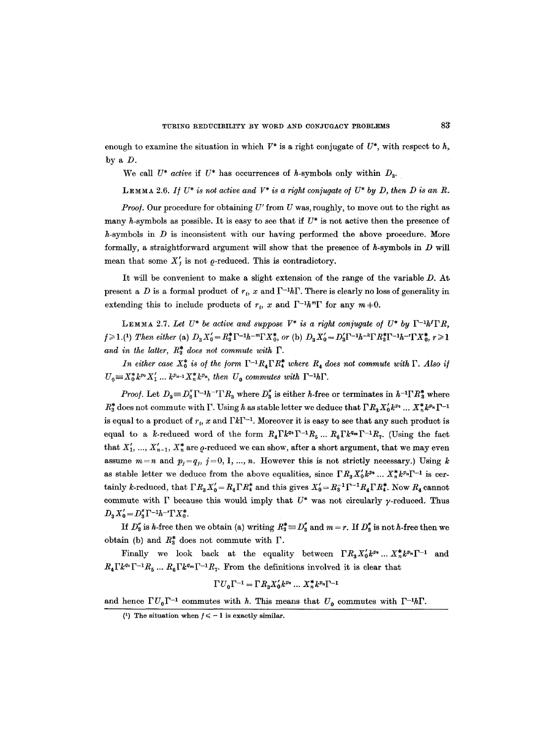enough to examine the situation in which  $V^*$  is a right conjugate of  $U^*$ , with respect to  $h$ , by a  $D$ .

We call  $U^*$  *active* if  $U^*$  has occurrences of h-symbols only within  $D_3$ .

LEMMA 2.6. If  $U^*$  is not active and  $V^*$  is a right conjugate of  $U^*$  by D, then D is an R.

*Proof.* Our procedure for obtaining  $U'$  from  $U$  was, roughly, to move out to the right as many h-symbols as possible. It is easy to see that if  $U^*$  is not active then the presence of  $h$ -symbols in  $D$  is inconsistent with our having performed the above procedure. More formally, a straightforward argument will show that the presence of  $h$ -symbols in  $D$  will mean that some  $X'_{i}$  is not  $\rho$ -reduced. This is contradictory.

It will be convenient to make a slight extension of the range of the variable D. At present a D is a formal product of  $r_i$ , x and  $\Gamma^{-1}h\Gamma$ . There is clearly no loss of generality in extending this to include products of  $r_i$ , x and  $\Gamma^{-1}h^m\Gamma$  for any  $m+0$ .

LEMMA 2.7. Let  $U^*$  be active and suppose  $V^*$  is a right conjugate of  $U^*$  by  $\Gamma^{-1}h^t\Gamma R$ ,  $f \geq 1$ .<sup>(1</sup>) *Then either* (a)  $D_3 X_0' = R_3^* \Gamma^{-1} h^{-m} \Gamma X_0^*$ , or (b)  $D_3 X_0' = D_3' \Gamma^{-1} h^{-k} \Gamma R_3^* \Gamma^{-1} h^{-r} \Gamma X_0^*, r \geq 1$ and in the latter,  $R_3^*$  does not commute with  $\Gamma$ .

*In either case*  $X_0^*$  *is of the form*  $\Gamma^{-1}R_4\Gamma R_4^*$  where  $R_4$  does not commute with  $\Gamma$ . Also if  $U_0 \equiv X_0^* k^{p_0} X_1' ... k^{p_{n-1}} X_n^* k^{p_n}$ , then  $U_0$  commutes with  $\Gamma^{-1} h \Gamma$ .

*Proof.* Let  $D_3 \equiv D''_3 \Gamma^{-1} h^{-r} \Gamma R_3$  where  $D''_3$  is either *h*-free or terminates in  $h^{-1} \Gamma R_3^*$  where  $R_3^*$  does not commute with  $\Gamma$ . Using h as stable letter we deduce that  $\Gamma R_3 X'_0 k^{p_0} \dots X_n^* k^{p_n} \Gamma^{-1}$ is equal to a product of  $r_i$ , x and  $\Gamma k \Gamma^{-1}$ . Moreover it is easy to see that any such product is equal to a k-reduced word of the form  $R_A \Gamma k^{q_0} \Gamma^{-1} R_5 ... R_6 \Gamma k^{q_m} \Gamma^{-1} R_7$ . (Using the fact that  $X'_1, ..., X'_{n-1}, X^*_{n}$  are  $\varrho$ -reduced we can show, after a short argument, that we may even assume  $m=n$  and  $p_j=q_j$ ,  $j=0, 1, ..., n$ . However this is not strictly necessary.) Using k as stable letter we deduce from the above equalities, since  $\Gamma R_A X'_0 k^{p_0} ... X_n^* k^{p_n} \Gamma^{-1}$  is certainly k-reduced, that  $\Gamma R_3 X_0' = R_4 \Gamma R_4^*$  and this gives  $X_0' = R_3^{-1} \Gamma^{-1} R_4 \Gamma R_4^*$ . Now  $R_4$  cannot commute with  $\Gamma$  because this would imply that  $U^*$  was not circularly  $\gamma$ -reduced. Thus  $D_3 X'_0 = D''_3 \Gamma^{-1} h^{-r} \Gamma X_0^*.$ 

**If**  $D''_3$  is h-free then we obtain (a) writing  $R^*_3 \equiv D''_3$  and  $m = r$ . If  $D''_3$  is not h-free then we obtain (b) and  $R_3^*$  does not commute with  $\Gamma$ .

Finally we look back at the equality between  $\Gamma R_3 X_0' k^{p_0} \dots X_n^* k^{p_n} \Gamma^{-1}$  and  $R_4\Gamma k^{q_0}\Gamma^{-1}R_5... R_6\Gamma k^{q_m}\Gamma^{-1}R_7.$  From the definitions involved it is clear that

$$
\Gamma U_0 \Gamma^{-1} = \Gamma R_3 X_0' k^{p_0} \dots X_n^* k^{p_n} \Gamma^{-1}
$$

and hence  $\Gamma U_0 \Gamma^{-1}$  commutes with h. This means that  $U_0$  commutes with  $\Gamma^{-1} h \Gamma$ .

<sup>(1)</sup> The situation when  $f \le -1$  is exactly similar.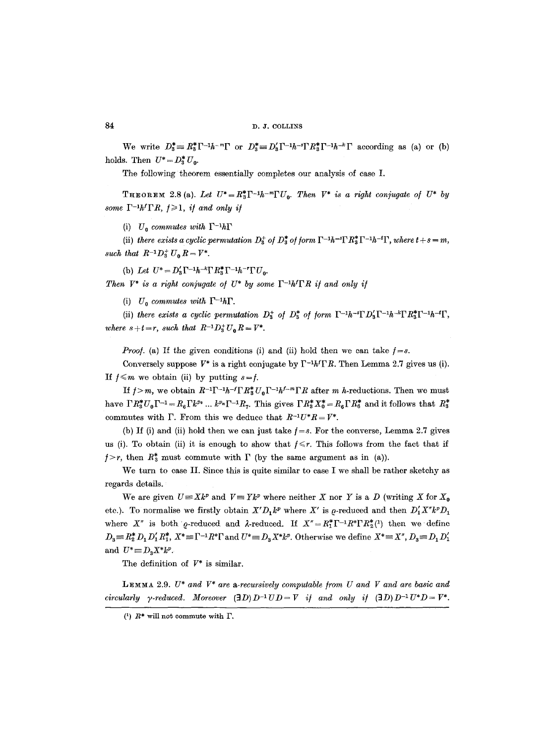We write  $D_3^* = R_3^* \Gamma^{-1} h^{-m} \Gamma$  or  $D_3^* = D_3' \Gamma^{-1} h^{-s} \Gamma R_3^* \Gamma^{-1} h^{-k} \Gamma$  according as (a) or (b) holds. Then  $U^* = D_3^* U_0$ .

The following theorem essentially completes our analysis of case I.

THEOREM 2.8 (a). Let  $U^*=R_*^*\Gamma^{-1}h^{-m}\Gamma U_0$ . Then  $V^*$  is a right conjugate of  $U^*$  by *some*  $\Gamma^{-1}h^f\Gamma R$ ,  $f\geq 1$ , *if and only if* 

(i)  $U_0$  commutes with  $\Gamma^{-1}h\Gamma$ 

(ii) *there exists a cyclic permutation*  $D^+_s$  *of*  $D^*_s$  *of form*  $\Gamma^{-1}h^{-s}\Gamma R^*_s\Gamma^{-1}h^{-t}\Gamma$ , where  $t + s = m$ , *such that*  $R^{-1}D_3^+U_0R = V^*$ .

(b) Let  $U^* = D'_2 \Gamma^{-1} h^{-k} \Gamma R^*_3 \Gamma^{-1} h^{-r} \Gamma U_o$ .

*Then*  $V^*$  is a right conjugate of  $U^*$  by some  $\Gamma^{-1}h^f \Gamma R$  if and only if

(i)  $U_0$  commutes with  $\Gamma^{-1}h\Gamma$ .

(ii) there exists a cyclic permutation  $D_3^+$  of  $D_3^*$  of form  $\Gamma^{-1}h^{-s}\Gamma D_3'\Gamma^{-1}h^{-k}\Gamma R_3^*\Gamma^{-1}h^{-t}\Gamma$ , *where*  $s + t = r$ *, such that*  $R^{-1}D_3^+U_0^+R = V^*$ *.* 

*Proof.* (a) If the given conditions (i) and (ii) hold then we can take  $f = s$ .

Conversely suppose  $V^*$  is a right conjugate by  $\Gamma^{-1} h^f \Gamma R$ . Then Lemma 2.7 gives us (i). If  $f \leq m$  we obtain (ii) by putting  $s = f$ .

If  $f > m$ , we obtain  $R^{-1} \Gamma^{-1} h^{-1} \Gamma R_s^* U_0 \Gamma^{-1} h^{-m} \Gamma R$  after m h-reductions. Then we must have  $\Gamma R_3^* U_0 \Gamma^{-1} = R_6 \Gamma k^{p_0} \dots k^{p_n} \Gamma^{-1} R_7$ . This gives  $\Gamma R_3^* X_0^* = R_6 \Gamma R_6^*$  and it follows that  $R_3^*$ commutes with  $\Gamma$ . From this we deduce that  $R^{-1}U^*R=V^*$ .

(b) If (i) and (ii) hold then we can just take  $f = s$ . For the converse, Lemma 2.7 gives us (i). To obtain (ii) it is enough to show that  $f \leq r$ . This follows from the fact that if  $f>r$ , then  $R_3^*$  must commute with  $\Gamma$  (by the same argument as in (a)).

We turn to case II. Since this is quite similar to case I we shall be rather sketchy as regards details.

We are given  $U= Xk^p$  and  $V=Yk^p$  where neither X nor Y is a D (writing X for  $X_0$ etc.). To normalise we firstly obtain  $X'D_1k^p$  where X' is  $\rho$ -reduced and then  $D'_1X''k^pD_1$ where X<sup>"</sup> is both o-reduced and  $\lambda$ -reduced. If  $X'' = R_1^* \Gamma^{-1} R^* \Gamma R_2^*$ <sup>(1)</sup> then we define  $D_3 = R_2^* D_1 D_1' R_1^*, X^* = \Gamma^{-1} R^* \Gamma$  and  $U^* = D_3 X^* k^p$ . Otherwise we define  $X^* = X'', D_3 = D_1 D_1'$ and  $U^* \equiv D_3 X^* k^p$ .

The definition of  $V^*$  is similar.

**LEMMA** 2.9.  $U^*$  and  $V^*$  are a-recursively computable from  $U$  and  $V$  and are basic and *circularly y-reduced. Moreover*  $(3D)D^{-1}UD = V$  *if and only if*  $(3D)D^{-1}U^*D = V^*$ .

<sup>(1)</sup>  $R^*$  will not commute with  $\Gamma$ .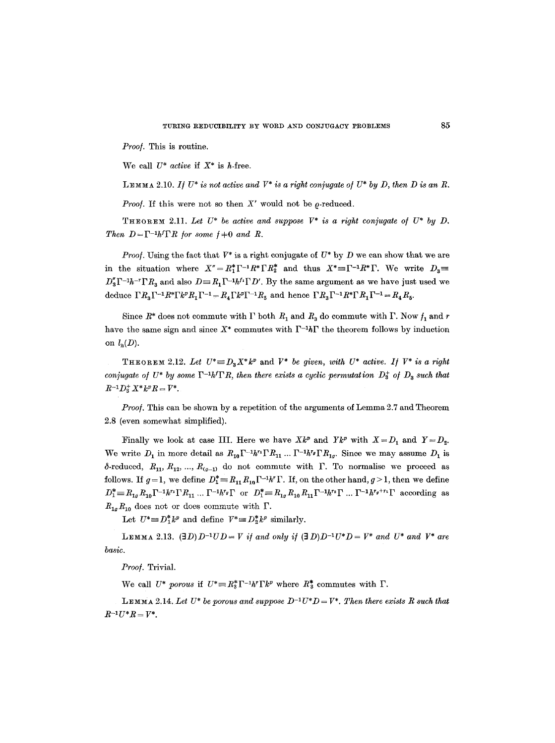*Proof.* This is routine.

We call  $U^*$  *active* if  $X^*$  is *h*-free.

LEMMA 2.10. *If*  $U^*$  is not active and  $V^*$  is a right conjugate of  $U^*$  by D, then D is an R.

*Proof.* If this were not so then  $X'$  would not be  $\rho$ -reduced.

THEOREM 2.11. Let  $U^*$  be active and suppose  $V^*$  is a right conjugate of  $U^*$  by D. *Then*  $D = \Gamma^{-1} h^f \Gamma R$  *for some*  $f \neq 0$  *and R.* 

*Proof.* Using the fact that  $V^*$  is a right conjugate of  $U^*$  by D we can show that we are in the situation where  $X''=R_1^*\Gamma^{-1}R^*\Gamma R_2^*$  and thus  $X^*=\Gamma^{-1}R^*\Gamma$ . We write  $D_3\equiv$  $D_3^r$  $\Gamma^{-1}h^{-r}\Gamma R_3$  and also  $D = R_1\Gamma^{-1}h^{r_1}\Gamma D'$ . By the same argument as we have just used we deduce  $\Gamma R_3 \Gamma^{-1} R^* \Gamma k^p R_1 \Gamma^{-1} = R_4 \Gamma k^p \Gamma^{-1} R_5$  and hence  $\Gamma R_3 \Gamma^{-1} R^* \Gamma R_1 \Gamma^{-1} = R_4 R_5$ .

Since  $R^*$  does not commute with  $\Gamma$  both  $R_1$  and  $R_3$  do commute with  $\Gamma$ . Now  $f_1$  and r have the same sign and since  $X^*$  commutes with  $\Gamma^{-1}h\Gamma$  the theorem follows by induction on  $l_h(D)$ .

THEOREM 2.12. Let  $U^* = D_3 X^* k^p$  and  $V^*$  be given, with  $U^*$  active. If  $V^*$  is a right *conjugate of U\* by some*  $\Gamma^{-1} h^f \Gamma R$ , then there exists a cyclic permutation  $D_3^+$  of  $D_3$  such that  $R^{-1}D_3^+X^*k^pR = V^*.$ 

*Proof.* This can be shown by a repetition of the arguments of Lemma 2.7 and Theorem 2.8 (even somewhat simplified).

Finally we look at case III. Here we have  $Xk^p$  and  $Yk^p$  with  $X = D_1$  and  $Y = D_2$ . We write  $D_1$  in more detail as  $R_{10}\Gamma^{-1}h^{r_1}\Gamma R_{11}$  ...  $\Gamma^{-1}h^{r_0}\Gamma R_{1g}$ . Since we may assume  $D_1$  is  $\delta$ -reduced,  $R_{11}$ ,  $R_{12}$ , ...,  $R_{(q-1)}$  do not commute with  $\Gamma$ . To normalise we proceed as follows. If  $g=1$ , we define  $D_1^* \equiv R_{11} R_{10} \Gamma^{-1} h^r \Gamma$ . If, on the other hand,  $g>1$ , then we define  $D_1^* = R_{1g} R_{10} \Gamma^{-1} h^{r_1} \Gamma R_{11} \ldots \Gamma^{-1} h^{r_g} \Gamma$  or  $D_1^* = R_{1g} R_{10} R_{11} \Gamma^{-1} h^{r_2} \Gamma \ldots \Gamma^{-1} h^{r_g + r_1} \Gamma$  according as  $R_{1a}R_{10}$  does not or does commute with  $\Gamma$ .

Let  $U^* \equiv D_1^* k^p$  and define  $V^* \equiv D_2^* k^p$  similarly.

LEMMA 2.13. *(3D)* $D^{-1}UD = V$  *if and only if (3D)* $D^{-1}U^*D = V^*$  and  $U^*$  and  $V^*$  are *bazic.* 

*Proof.* Trivial.

We call  $U^*$  porous if  $U^* \equiv R_3^* \Gamma^{-1} h^r \Gamma k^p$  where  $R_3^*$  commutes with  $\Gamma$ .

LEMMA 2.14. Let  $U^*$  be porous and suppose  $D^{-1}U^*D = V^*$ . Then there exists R such that  $R^{-1}U^*R = V^*.$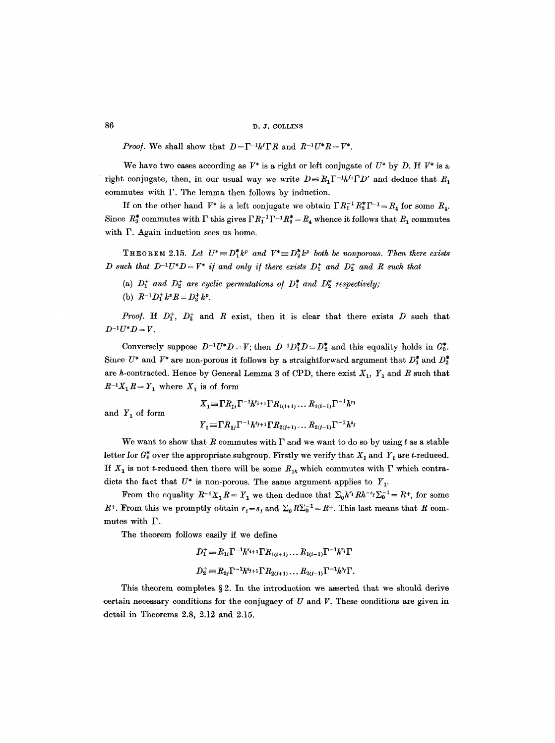*Proof.* We shall show that  $D=\Gamma^{-1}M\Gamma R$  and  $R^{-1}U^*R=V^*$ .

We have two cases according as  $V^*$  is a right or left conjugate of  $U^*$  by D. If  $V^*$  is a right conjugate, then, in our usual way we write  $D = R_1 \Gamma^{-1} h^{f_1} \Gamma D'$  and deduce that  $R_1$ commutes with  $\Gamma$ . The lemma then follows by induction.

If on the other hand  $V^*$  is a left conjugate we obtain  $\Gamma R_1^{-1}R_3^*\Gamma^{-1}=R_4$  for some  $R_4$ . Since  $R_3^*$  commutes with  $\Gamma$  this gives  $\Gamma R_1^{-1} \Gamma^{-1} R_3^* = R_4$  whence it follows that  $R_1$  commutes with  $\Gamma$ . Again induction sees us home.

THEOREM 2.15. Let  $U^* \equiv D_1^* k^p$  and  $V^* \equiv D_2^* k^p$  both be nonporous. Then there exists *D such that D<sup>-1</sup>U\*D = V\* if and only if there exists D<sub>1</sub><sup>+</sup> and D<sub>2</sub><sup>+</sup> and R such that* 

- (a)  $D_1^+$  and  $D_2^+$  are cyclic permutations of  $D_1^*$  and  $D_2^*$  respectively;
- (b)  $R^{-1}D_1^+k^pR = D_2^+k^p$ .

*Proof.* If  $D_1^+$ ,  $D_2^+$  and R exist, then it is clear that there exists D such that  $D^{-1}U^*D = V.$ 

Conversely suppose  $D^{-1}U^*D = V$ ; then  $D^{-1}D_1^*D = D_2^*$  and this equality holds in  $G_0^*$ . Since  $U^*$  and  $V^*$  are non-porous it follows by a straightforward argument that  $D_1^*$  and  $D_2^*$ are h-contracted. Hence by General Lemma 3 of CPD, there exist  $X_1$ ,  $Y_1$  and R such that  $R^{-1}X_1R = Y_1$  where  $X_1$  is of form

and  $Y_1$  of form

$$
X_1 \equiv \Gamma R_{1i} \Gamma^{-1} h^{r_{i+1}} \Gamma R_{1(i+1)} \dots R_{1(i-1)} \Gamma^{-1} h^{r_i}
$$
  

$$
Y_1 \equiv \Gamma R_{2i} \Gamma^{-1} h^{s_{j+1}} \Gamma R_{2(i+1)} \dots R_{2(i-1)} \Gamma^{-1} h^{s_i}
$$

We want to show that R commutes with  $\Gamma$  and we want to do so by using t as a stable letter for  $G_0^*$  over the appropriate subgroup. Firstly we verify that  $X_1$  and  $Y_1$  are t-reduced. If  $X_1$  is not t-reduced then there will be some  $R_{1k}$  which commutes with  $\Gamma$  which contradicts the fact that  $U^*$  is non-porous. The same argument applies to  $Y_1$ .

From the equality  $R^{-1}X_1R=Y_1$  we then deduce that  $\sum_0 h^{r_i}Rh^{-s_j}\sum_0^{-1}=R^+$ , for some  $R^+$ . From this we promptly obtain  $r_i = s_j$  and  $\Sigma_0 R \Sigma_0^{-1} = R^+$ . This last means that R commutes with  $\Gamma$ .

The theorem follows easily if we define

$$
D_1^+ = R_{1i} \Gamma^{-1} h^{r_{i+1}} \Gamma R_{1(i+1)} \dots R_{1(i-1)} \Gamma^{-1} h^{r_i} \Gamma
$$
  

$$
D_2^+ = R_{2j} \Gamma^{-1} h^{s_{j+1}} \Gamma R_{2(j+1)} \dots R_{2(j-1)} \Gamma^{-1} h^{s_j} \Gamma.
$$

This theorem completes  $\S 2$ . In the introduction we asserted that we should derive certain necessary conditions for the conjugacy of  $U$  and  $V$ . These conditions are given in detail in Theorems 2.8, 2.12 and 2.15.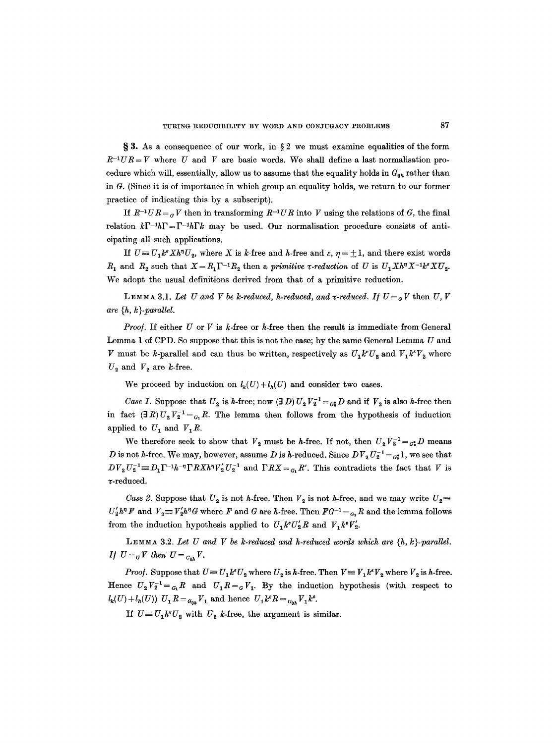§ 3. As a consequence of our work, in § 2 we must examine equalities of the form  $R^{-1}UR = V$  where U and V are basic words. We shall define a last normalisation procedure which will, essentially, allow us to assume that the equality holds in  $G_{0h}$  rather than in G. (Since it is of importance in which group an equality holds, we return to our former practice of indicating this by a subscript).

If  $R^{-1}UR = qV$  then in transforming  $R^{-1}UR$  into V using the relations of G, the final relation  $k\Gamma^{-1}h\Gamma = \Gamma^{-1}h\Gamma k$  may be used. Our normalisation procedure consists of anticipating all such applications.

If  $U=U_1k^{\epsilon}Xh^{\eta}U_2$ , where X is k-free and h-free and  $\epsilon, \eta = \pm 1$ , and there exist words  $R_1$  and  $R_2$  such that  $X=R_1\Gamma^{-1}R_2$  then a *primitive v-reduction* of U is  $U_1Xh^nX^{-1}k^sXU_2$ . We adopt the usual definitions derived from that of a primitive reduction.

LEMMA 3.1. Let U and V be k-reduced, h-reduced, and  $\tau$ -reduced. If  $U = G$  V then U, V *are {h, k}-parallel.* 

*Proof.* If either U or V is  $k$ -free or  $h$ -free then the result is immediate from General Lemma 1 of CPD. So suppose that this is not the case; by the same General Lemma  $U$  and V must be k-parallel and can thus be written, respectively as  $U_1 k^e U_2$  and  $V_1 k^e V_2$  where  $U_2$  and  $V_2$  are *k*-free.

We proceed by induction on  $l_k(U) + l_h(U)$  and consider two cases.

*Case 1.* Suppose that  $U_2$  is h-free; now  $(\mathbf{1} D) U_2 V_2^{-1} = G_2^* D$  and if  $V_2$  is also h-free then in fact  $(\exists R) U_2 V_2^{-1} =_{G_1} R$ . The lemma then follows from the hypothesis of induction applied to  $U_1$  and  $V_1 R$ .

We therefore seek to show that  $V_2$  must be *h*-free. If not, then  $U_2 V_2^{-1} = G_2^* D$  means D is not h-free. We may, however, assume D is h-reduced. Since  $DV_2U_2^{-1} = G_2^*1$ , we see that  $DV_2U_2^{-1} \equiv D_1\Gamma^{-1}h^{-\eta}\Gamma R X h^{\eta}V_2' U_2^{-1}$  and  $\Gamma R X = a_1 R'$ . This contradicts the fact that V is  $\tau$ -reduced.

*Case 2.* Suppose that  $U_2$  is not *h*-free. Then  $V_2$  is not *h*-free, and we may write  $U_2$  $U_2'h^p F$  and  $V_3 \equiv V_2'h^q G$  where F and G are h-free. Then  $FG^{-1} = G R$  and the lemma follows from the induction hypothesis applied to  $U_1 k^e U_2 R$  and  $V_1 k^e V_2$ .

LEMMA 3.2. Let U and V be k-reduced and h-reduced words which are  $\{h, k\}$ -parallel. *If*  $U = G V$  then  $U = G_{0h} V$ .

*Proof.* Suppose that  $U = U_1 k^e U_2$  where  $U_2$  is h-free. Then  $V = V_1 k^e V_2$  where  $V_2$  is h-free. Hence  $U_2V_2^{-1}=\sigma R$  and  $U_1R=\sigma V_1$ . By the induction hypothesis (with respect to  $l_k(U) + l_h(U)$   $U_1 R =_{G_{0h}} V_1$  and hence  $U_1 k^{\varepsilon} R =_{G_{0h}} V_1 k^{\varepsilon}$ .

If  $U=U_1h^{\epsilon}U_2$  with  $U_2$  *k*-free, the argument is similar.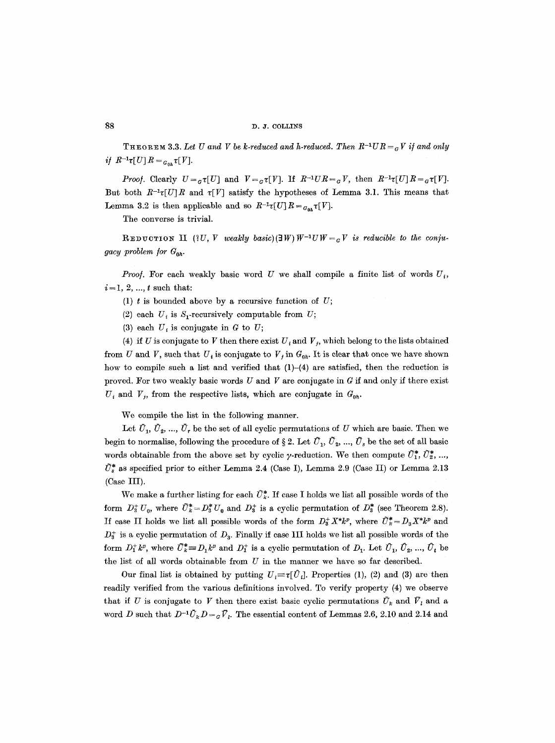THEOREM 3.3. Let U and V be k-reduced and h-reduced. Then  $R^{-1}UR =$ <sub>G</sub>V if and only if  $R^{-1}\tau[U] R =_{G_{0h}} \tau[V].$ 

*Proof.* Clearly  $U = {_\sigma \tau}[U]$  and  $V = {_\sigma \tau}[V]$ . If  $R^{-1}UR = {_\sigma V}$ , then  $R^{-1}\tau[U]R = {_\sigma \tau}[V]$ . But both  $R^{-1}\tau[U]R$  and  $\tau[V]$  satisfy the hypotheses of Lemma 3.1. This means that Lemma 3.2 is then applicable and so  $R^{-1}\tau [U]R =_{G_{0*}} \tau [V]$ .

The converse is trivial.

**REDUCTION** II (?U, *V* weakly basic)(3W)  $W^{-1}UW = eV$  is reducible to the conju*gacy problem for G*<sub>on</sub>.

*Proof.* For each weakly basic word U we shall compile a finite list of words  $U_i$ ,  $i=1, 2, ..., t$  such that:

- (1)  $t$  is bounded above by a recursive function of  $U$ ;
- (2) each  $U_i$  is S<sub>1</sub>-recursively computable from  $U$ ;
- (3) each  $U_i$  is conjugate in G to U;

(4) if U is conjugate to V then there exist  $U_i$  and  $V_j$ , which belong to the lists obtained from U and V, such that  $U_i$  is conjugate to  $V_j$  in  $G_{0h}$ . It is clear that once we have shown how to compile such a list and verified that  $(1)$ – $(4)$  are satisfied, then the reduction is proved. For two weakly basic words U and V are conjugate in G if and only if there exist  $U_i$  and  $V_j$ , from the respective lists, which are conjugate in  $G_{0h}$ .

We compile the list in the following manner.

Let  $\bar{U}_1, \bar{U}_2, ..., \bar{U}_r$  be the set of all cyclic permutations of U which are basic. Then we begin to normalise, following the procedure of § 2. Let  $\tilde{U}_1, \tilde{U}_2, ..., \tilde{U}_s$  be the set of all basic words obtainable from the above set by cyclic y-reduction. We then compute  $\tilde{U}_1^*, \tilde{U}_2^*, ...$  $\tilde{U}_s^*$  as specified prior to either Lemma 2.4 (Case I), Lemma 2.9 (Case II) or Lemma 2.13 (Case III).

We make a further listing for each  $\tilde{U}_k^*$ . If case I holds we list all possible words of the form  $D_3^+ U_0$ , where  $\tilde{U}_k^* = D_3^* U_0$  and  $D_3^+$  is a cyclic permutation of  $D_3^*$  (see Theorem 2.8). If case II holds we list all possible words of the form  $D_5^+ X^* k^p$ , where  $\tilde{U}_k^* = D_3 X^* k^p$  and  $D_3^+$  is a cyclic permutation of  $D_3$ . Finally if case III holds we list all possible words of the form  $D_1^+ k^p$ , where  $\tilde{U}_k^* \equiv D_1 k^p$  and  $D_1^+$  is a cyclic permutation of  $D_1$ . Let  $\hat{U}_1, \hat{U}_2, ..., \hat{U}_t$  be the list of all words obtainable from  $U$  in the manner we have so far described.

Our final list is obtained by putting  $U_i \equiv \tau[\hat{U}_i]$ . Properties (1), (2) and (3) are then readily verified from the various definitions involved. To verify property (4) we observe that if U is conjugate to V then there exist basic cyclic permutations  $\bar{U}_k$  and  $\bar{V}_l$  and a word D such that  $D^{-1}\bar{U}_kD=\sigma\bar{V}_l$ . The essential content of Lemmas 2.6, 2.10 and 2.14 and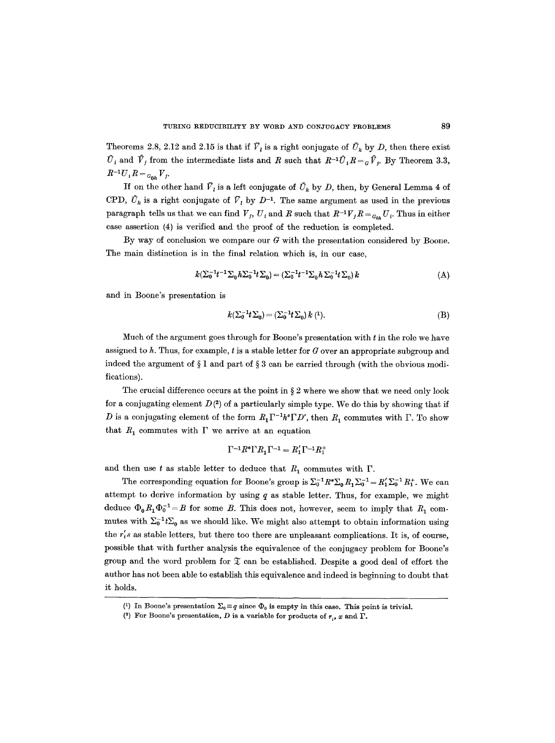Theorems 2.8, 2.12 and 2.15 is that if  $\bar{V}_l$  is a right conjugate of  $\bar{U}_k$  by *D*, then there exist  $\hat{U}_i$  and  $\hat{V}_j$  from the intermediate lists and R such that  $R^{-1}\hat{U}_iR = _g\hat{V}_j$ . By Theorem 3.3,  $R^{-1}U_{i}R = {}_{G_{0}h}V_{j}.$ 

If on the other hand  $\bar{V}_l$  is a left conjugate of  $\bar{U}_k$  by D, then, by General Lemma 4 of CPD,  $\bar{U}_k$  is a right conjugate of  $\bar{V}_l$  by  $D^{-1}$ . The same argument as used in the previous paragraph tells us that we can find  $V_j$ ,  $U_j$  and R such that  $R^{-1}V_jR =_{G_0} U_j$ . Thus in either case assertion (4) is verified and the proof of the reduction is completed.

By way of conclusion we compare our  $G$  with the presentation considered by Boone. The main distinction is in the final relation which is, in our case,

$$
k(\Sigma_0^{-1}t^{-1}\Sigma_0h\Sigma_0^{-1}t\Sigma_0) = (\Sigma_0^{-1}t^{-1}\Sigma_0h\Sigma_0^{-1}t\Sigma_0) k
$$
 (A)

and in Boone's presentation is

$$
k(\Sigma_0^{-1}t\Sigma_0) = (\Sigma_0^{-1}t\Sigma_0) k (1).
$$
 (B)

Much of the argument goes through for Boone's presentation with  $t$  in the role we have assigned to  $h$ . Thus, for example, t is a stable letter for  $G$  over an appropriate subgroup and indeed the argument of  $\S 1$  and part of  $\S 3$  can be carried through (with the obvious modifications).

The crucial difference occurs at the point in  $\S 2$  where we show that we need only look for a conjugating element  $D(2)$  of a particularly simple type. We do this by showing that if D is a conjugating element of the form  $R_1\Gamma^{-1}h^{\epsilon}\Gamma D'$ , then  $R_1$  commutes with  $\Gamma$ . To show that  $R_1$  commutes with  $\Gamma$  we arrive at an equation

$$
\Gamma^{-1}R^*\Gamma R_1\Gamma^{-1}=R_1'\Gamma^{-1}R_1^+
$$

and then use t as stable letter to deduce that  $R_1$  commutes with  $\Gamma$ .

The corresponding equation for Boone's group is  $\Sigma_0^{-1}R^*\Sigma_0 R_1\Sigma_0^{-1} = R'_1\Sigma_0^{-1}R_1^*$ . We can attempt to derive information by using  $q$  as stable letter. Thus, for example, we might deduce  $\Phi_0 R_1 \Phi_0^{-1} = B$  for some B. This does not, however, seem to imply that  $R_1$  commutes with  $\Sigma_0^{-1} t \Sigma_0$  as we should like. We might also attempt to obtain information using the  $r_i$ <sup>s</sup> as stable letters, but there too there are unpleasant complications. It is, of course, possible that with further analysis the equivalence of the conjugacy problem for Boone's group and the word problem for  $\mathfrak X$  can be established. Despite a good deal of effort the author has not been able to establish this equivalence and indeed is beginning to doubt that it holds.

<sup>(1)</sup> In Boone's presentation  $\Sigma_0 \equiv q$  since  $\Phi_0$  is empty in this case. This point is trivial.

<sup>(2)</sup> For Boone's presentation, D is a variable for products of  $r_i$ , x and  $\Gamma$ .